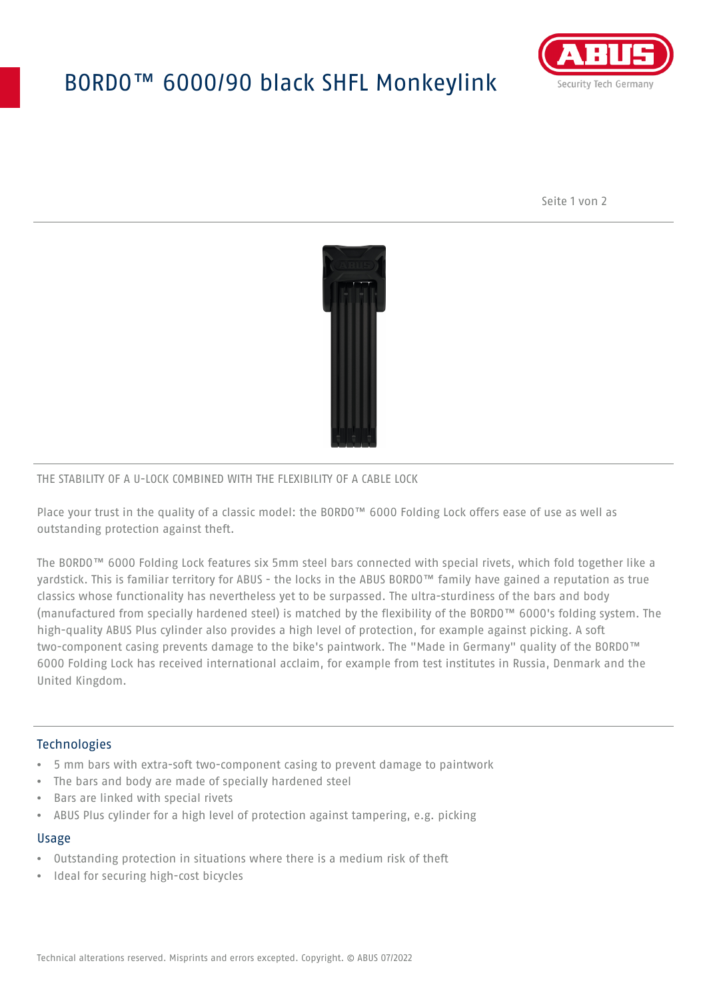# BORDO™ 6000/90 black SHFL Monkeylink



Seite 1 von 2



#### THE STABILITY OF A U-LOCK COMBINED WITH THE FLEXIBILITY OF A CABLE LOCK

Place your trust in the quality of a classic model: the BORDO™ 6000 Folding Lock offers ease of use as well as outstanding protection against theft.

The BORDO™ 6000 Folding Lock features six 5mm steel bars connected with special rivets, which fold together like a yardstick. This is familiar territory for ABUS - the locks in the ABUS BORDO™ family have gained a reputation as true classics whose functionality has nevertheless yet to be surpassed. The ultra-sturdiness of the bars and body (manufactured from specially hardened steel) is matched by the flexibility of the BORDO™ 6000's folding system. The high-quality ABUS Plus cylinder also provides a high level of protection, for example against picking. A soft two-component casing prevents damage to the bike's paintwork. The "Made in Germany" quality of the BORDO™ 6000 Folding Lock has received international acclaim, for example from test institutes in Russia, Denmark and the United Kingdom.

## Technologies

- 5 mm bars with extra-soft two-component casing to prevent damage to paintwork
- The bars and body are made of specially hardened steel
- Bars are linked with special rivets
- ABUS Plus cylinder for a high level of protection against tampering, e.g. picking

#### Usage

- Outstanding protection in situations where there is a medium risk of theft
- Ideal for securing high-cost bicycles